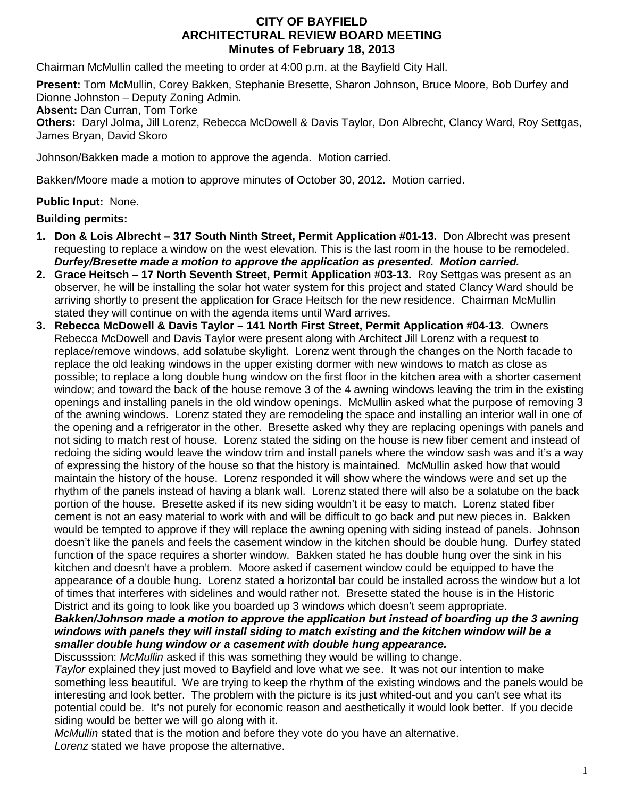# **CITY OF BAYFIELD ARCHITECTURAL REVIEW BOARD MEETING Minutes of February 18, 2013**

Chairman McMullin called the meeting to order at 4:00 p.m. at the Bayfield City Hall.

**Present:** Tom McMullin, Corey Bakken, Stephanie Bresette, Sharon Johnson, Bruce Moore, Bob Durfey and Dionne Johnston – Deputy Zoning Admin.

**Absent:** Dan Curran, Tom Torke

**Others:** Daryl Jolma, Jill Lorenz, Rebecca McDowell & Davis Taylor, Don Albrecht, Clancy Ward, Roy Settgas, James Bryan, David Skoro

Johnson/Bakken made a motion to approve the agenda. Motion carried.

Bakken/Moore made a motion to approve minutes of October 30, 2012. Motion carried.

# **Public Input:** None.

## **Building permits:**

- **1. Don & Lois Albrecht – 317 South Ninth Street, Permit Application #01-13.** Don Albrecht was present requesting to replace a window on the west elevation. This is the last room in the house to be remodeled. *Durfey/Bresette made a motion to approve the application as presented. Motion carried.*
- **2. Grace Heitsch – 17 North Seventh Street, Permit Application #03-13.** Roy Settgas was present as an observer, he will be installing the solar hot water system for this project and stated Clancy Ward should be arriving shortly to present the application for Grace Heitsch for the new residence. Chairman McMullin stated they will continue on with the agenda items until Ward arrives.
- **3. Rebecca McDowell & Davis Taylor – 141 North First Street, Permit Application #04-13.** Owners Rebecca McDowell and Davis Taylor were present along with Architect Jill Lorenz with a request to replace/remove windows, add solatube skylight. Lorenz went through the changes on the North facade to replace the old leaking windows in the upper existing dormer with new windows to match as close as possible; to replace a long double hung window on the first floor in the kitchen area with a shorter casement window; and toward the back of the house remove 3 of the 4 awning windows leaving the trim in the existing openings and installing panels in the old window openings. McMullin asked what the purpose of removing 3 of the awning windows. Lorenz stated they are remodeling the space and installing an interior wall in one of the opening and a refrigerator in the other. Bresette asked why they are replacing openings with panels and not siding to match rest of house. Lorenz stated the siding on the house is new fiber cement and instead of redoing the siding would leave the window trim and install panels where the window sash was and it's a way of expressing the history of the house so that the history is maintained. McMullin asked how that would maintain the history of the house. Lorenz responded it will show where the windows were and set up the rhythm of the panels instead of having a blank wall. Lorenz stated there will also be a solatube on the back portion of the house. Bresette asked if its new siding wouldn't it be easy to match. Lorenz stated fiber cement is not an easy material to work with and will be difficult to go back and put new pieces in. Bakken would be tempted to approve if they will replace the awning opening with siding instead of panels. Johnson doesn't like the panels and feels the casement window in the kitchen should be double hung. Durfey stated function of the space requires a shorter window. Bakken stated he has double hung over the sink in his kitchen and doesn't have a problem. Moore asked if casement window could be equipped to have the appearance of a double hung. Lorenz stated a horizontal bar could be installed across the window but a lot of times that interferes with sidelines and would rather not. Bresette stated the house is in the Historic District and its going to look like you boarded up 3 windows which doesn't seem appropriate.

### *Bakken/Johnson made a motion to approve the application but instead of boarding up the 3 awning windows with panels they will install siding to match existing and the kitchen window will be a smaller double hung window or a casement with double hung appearance.*

Discusssion: *McMullin* asked if this was something they would be willing to change.

*Taylor* explained they just moved to Bayfield and love what we see. It was not our intention to make something less beautiful. We are trying to keep the rhythm of the existing windows and the panels would be interesting and look better. The problem with the picture is its just whited-out and you can't see what its potential could be. It's not purely for economic reason and aesthetically it would look better. If you decide siding would be better we will go along with it.

*McMullin* stated that is the motion and before they vote do you have an alternative. *Lorenz* stated we have propose the alternative.